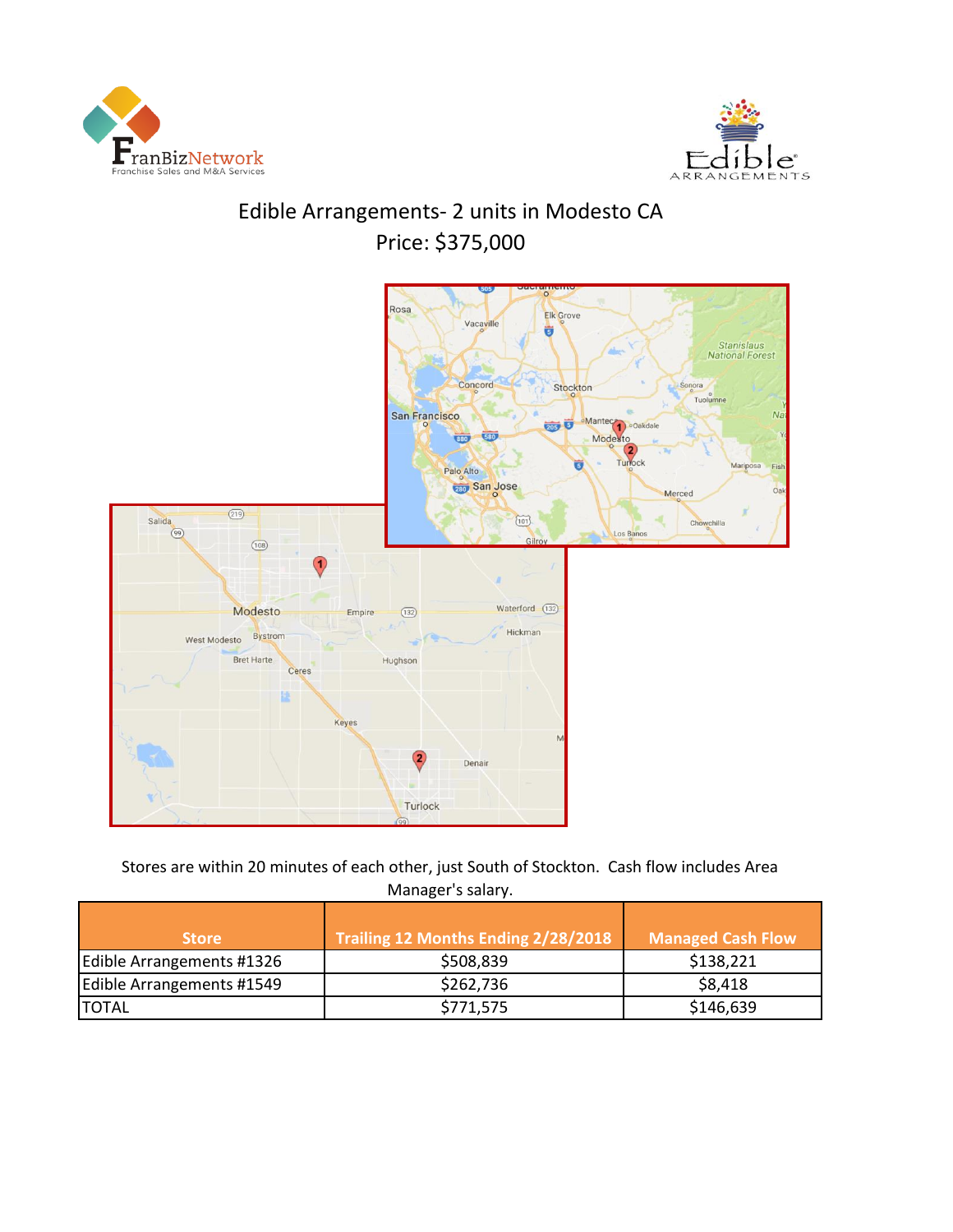



# Edible Arrangements- 2 units in Modesto CA Price: \$375,000



Stores are within 20 minutes of each other, just South of Stockton. Cash flow includes Area Manager's salary.

| <b>Store</b>              | Trailing 12 Months Ending 2/28/2018 | <b>Managed Cash Flow</b> |
|---------------------------|-------------------------------------|--------------------------|
| Edible Arrangements #1326 | \$508,839                           | \$138,221                |
| Edible Arrangements #1549 | \$262,736                           | \$8,418                  |
| <b>ITOTAL</b>             | \$771,575                           | \$146,639                |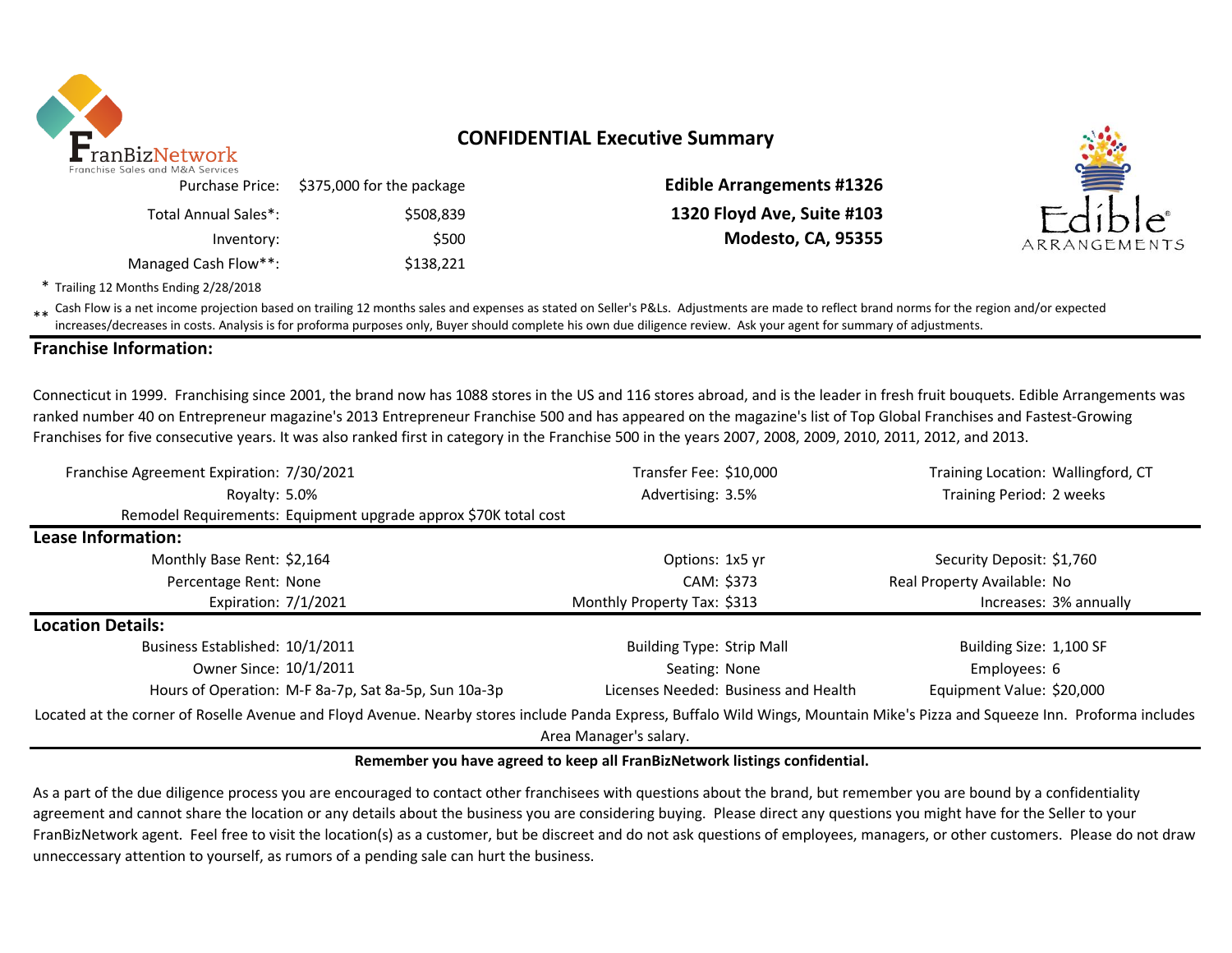

# **CONFIDENTIAL Executive Summary**

Inventory: \$500 **Modesto, CA, 95355** Managed Cash Flow\*\*: \$138,221 Purchase Price: Total Annual Sales\*:

\$375,000 for the package **Edible Arrangements #1326** \$508,839 **1320 Floyd Ave, Suite #103**



\* Trailing 12 Months Ending 2/28/2018

\*\* Cash Flow is a net income projection based on trailing 12 months sales and expenses as stated on Seller's P&Ls. Adjustments are made to reflect brand norms for the region and/or expected in costs. Analysis is for profor increases/decreases in costs. Analysis is for proforma purposes only, Buyer should complete his own due diligence review. Ask your agent for summary of adjustments.

### **Franchise Information:**

Connecticut in 1999. Franchising since 2001, the brand now has 1088 stores in the US and 116 stores abroad, and is the leader in fresh fruit bouquets. Edible Arrangements was ranked number 40 on Entrepreneur magazine's 2013 Entrepreneur Franchise 500 and has appeared on the magazine's list of Top Global Franchises and Fastest-Growing Franchises for five consecutive years. It was also ranked first in category in the Franchise 500 in the years 2007, 2008, 2009, 2010, 2011, 2012, and 2013.

| Franchise Agreement Expiration: 7/30/2021 |                                                                 | Transfer Fee: \$10,000               | Training Location: Wallingford, CT                                                                                                                                          |  |  |  |
|-------------------------------------------|-----------------------------------------------------------------|--------------------------------------|-----------------------------------------------------------------------------------------------------------------------------------------------------------------------------|--|--|--|
| Royalty: 5.0%                             |                                                                 | Advertising: 3.5%                    | Training Period: 2 weeks                                                                                                                                                    |  |  |  |
|                                           | Remodel Requirements: Equipment upgrade approx \$70K total cost |                                      |                                                                                                                                                                             |  |  |  |
| Lease Information:                        |                                                                 |                                      |                                                                                                                                                                             |  |  |  |
| Monthly Base Rent: \$2,164                |                                                                 | Options: 1x5 yr                      | Security Deposit: \$1,760                                                                                                                                                   |  |  |  |
| Percentage Rent: None                     |                                                                 | CAM: \$373                           | Real Property Available: No                                                                                                                                                 |  |  |  |
| Expiration: 7/1/2021                      |                                                                 | Monthly Property Tax: \$313          | Increases: 3% annually                                                                                                                                                      |  |  |  |
| <b>Location Details:</b>                  |                                                                 |                                      |                                                                                                                                                                             |  |  |  |
| Business Established: 10/1/2011           |                                                                 | <b>Building Type: Strip Mall</b>     | Building Size: 1,100 SF                                                                                                                                                     |  |  |  |
| Owner Since: 10/1/2011                    |                                                                 | Seating: None                        | Employees: 6                                                                                                                                                                |  |  |  |
|                                           | Hours of Operation: M-F 8a-7p, Sat 8a-5p, Sun 10a-3p            | Licenses Needed: Business and Health | Equipment Value: \$20,000                                                                                                                                                   |  |  |  |
|                                           |                                                                 |                                      | Located at the corner of Roselle Avenue and Floyd Avenue. Nearby stores include Panda Express, Buffalo Wild Wings, Mountain Mike's Pizza and Squeeze Inn. Proforma includes |  |  |  |
|                                           |                                                                 | Area Manager's salary.               |                                                                                                                                                                             |  |  |  |

### **Remember you have agreed to keep all FranBizNetwork listings confidential.**

As a part of the due diligence process you are encouraged to contact other franchisees with questions about the brand, but remember you are bound by a confidentiality agreement and cannot share the location or any details about the business you are considering buying. Please direct any questions you might have for the Seller to your FranBizNetwork agent. Feel free to visit the location(s) as a customer, but be discreet and do not ask questions of employees, managers, or other customers. Please do not draw unneccessary attention to yourself, as rumors of a pending sale can hurt the business.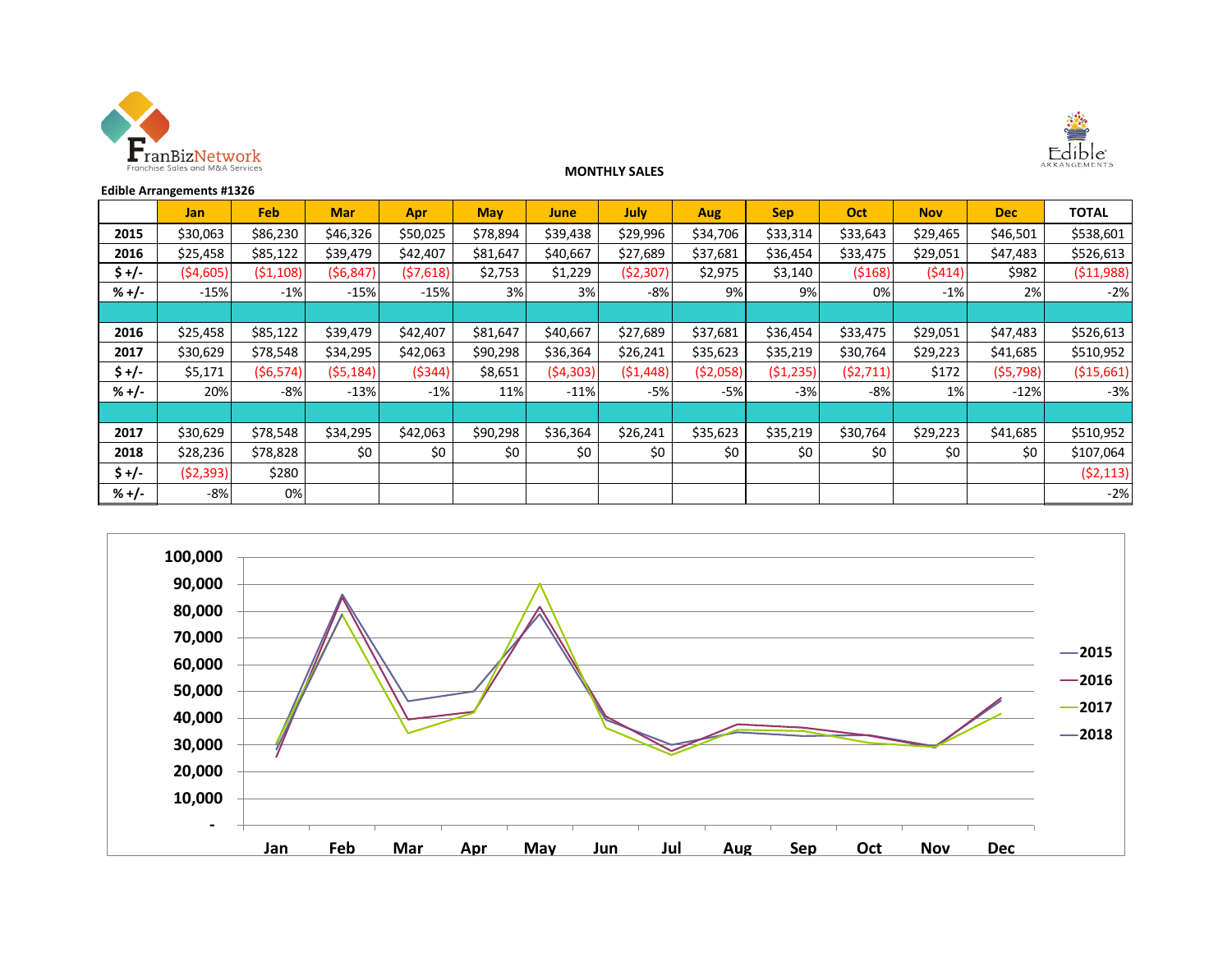



#### **MONTHLY SALES**

| <b>Edible Arrangements #1326</b> |            |            |            |            |            |             |             |            |            |           |            |            |              |
|----------------------------------|------------|------------|------------|------------|------------|-------------|-------------|------------|------------|-----------|------------|------------|--------------|
|                                  | <b>Jan</b> | <b>Feb</b> | <b>Mar</b> | <b>Apr</b> | <b>May</b> | <b>June</b> | <b>July</b> | Aug        | <b>Sep</b> | Oct       | <b>Nov</b> | <b>Dec</b> | <b>TOTAL</b> |
| 2015                             | \$30,063   | \$86,230   | \$46,326   | \$50,025   | \$78,894   | \$39,438    | \$29,996    | \$34,706   | \$33,314   | \$33,643  | \$29,465   | \$46,501   | \$538,601    |
| 2016                             | \$25,458   | \$85,122   | \$39,479   | \$42,407   | \$81,647   | \$40,667    | \$27,689    | \$37,681   | \$36,454   | \$33,475  | \$29,051   | \$47,483   | \$526,613    |
| \$+/-                            | ( \$4,605) | ( \$1,108) | (56, 847)  | (57,618)   | \$2,753    | \$1,229     | ( \$2,307)  | \$2,975    | \$3,140    | ( \$168)  | (5414)     | \$982      | ( \$11,988)  |
| $% +/-$                          | $-15%$     | $-1%$      | $-15%$     | $-15%$     | 3%         | 3%          | $-8%$       | 9%         | 9%         | 0%        | $-1%$      | 2%         | $-2%$        |
|                                  |            |            |            |            |            |             |             |            |            |           |            |            |              |
| 2016                             | \$25,458   | \$85,122   | \$39,479   | \$42,407   | \$81,647   | \$40,667    | \$27,689    | \$37,681   | \$36,454   | \$33,475  | \$29,051   | \$47,483   | \$526,613    |
| 2017                             | \$30,629   | \$78,548   | \$34,295   | \$42,063   | \$90,298   | \$36,364    | \$26,241    | \$35,623   | \$35,219   | \$30,764  | \$29,223   | \$41,685   | \$510,952    |
| \$+/-                            | \$5,171    | ( \$6,574) | (55, 184)  | ( \$344]   | \$8,651    | (54, 303)   | (51, 448)   | ( \$2,058) | ( \$1,235) | (52, 711) | \$172      | (55, 798)  | ( \$15,661)  |
| $% +/-$                          | 20%        | -8%        | $-13%$     | $-1%$      | 11%        | $-11%$      | $-5%$       | $-5%$      | $-3%$      | -8%       | 1%         | $-12%$     | $-3%$        |
|                                  |            |            |            |            |            |             |             |            |            |           |            |            |              |
| 2017                             | \$30,629   | \$78,548   | \$34,295   | \$42,063   | \$90,298   | \$36,364    | \$26,241    | \$35,623   | \$35,219   | \$30,764  | \$29,223   | \$41,685   | \$510,952    |
| 2018                             | \$28,236   | \$78,828   | \$0        | \$0        | \$0        | \$0         | \$0         | \$0        | \$0        | \$0       | \$0        | \$0        | \$107,064    |
| $$+/-$                           | (52, 393)  | \$280      |            |            |            |             |             |            |            |           |            |            | (52, 113)    |
| $% +/-$                          | $-8%$      | 0%         |            |            |            |             |             |            |            |           |            |            | $-2%$        |

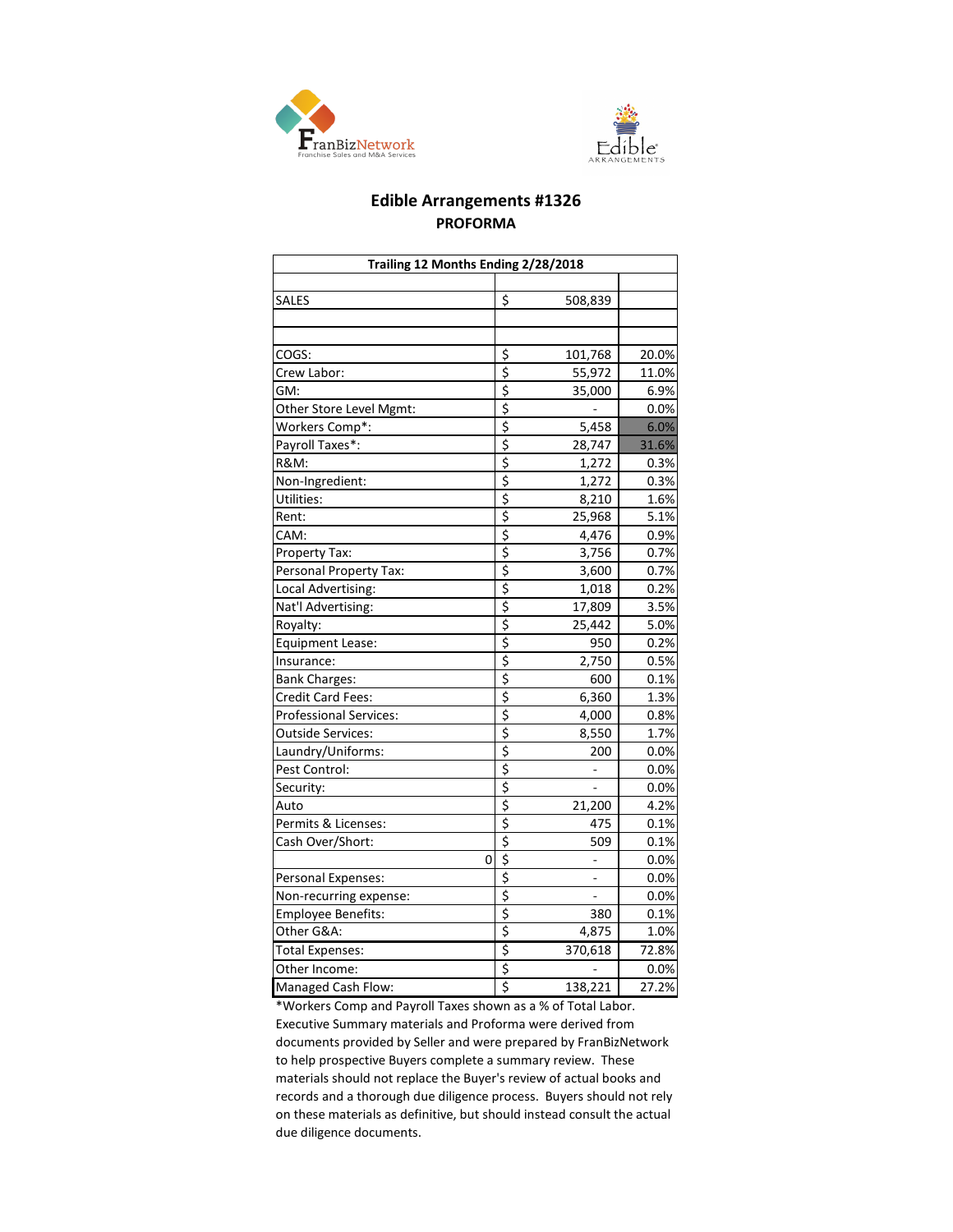



### **Edible Arrangements #1326 PROFORMA**

| Trailing 12 Months Ending 2/28/2018 |                                     |         |       |  |  |  |  |  |
|-------------------------------------|-------------------------------------|---------|-------|--|--|--|--|--|
|                                     |                                     |         |       |  |  |  |  |  |
| SALES                               | \$                                  | 508,839 |       |  |  |  |  |  |
|                                     |                                     |         |       |  |  |  |  |  |
|                                     |                                     |         |       |  |  |  |  |  |
| COGS:                               | \$                                  | 101,768 | 20.0% |  |  |  |  |  |
| Crew Labor:                         | $\overline{\boldsymbol{\varsigma}}$ | 55,972  | 11.0% |  |  |  |  |  |
| GM:                                 | \$                                  | 35,000  | 6.9%  |  |  |  |  |  |
| Other Store Level Mgmt:             | \$                                  |         | 0.0%  |  |  |  |  |  |
| Workers Comp*:                      | \$                                  | 5,458   | 6.0%  |  |  |  |  |  |
| Payroll Taxes*:                     | \$                                  | 28,747  | 31.6% |  |  |  |  |  |
| <b>R&amp;M:</b>                     | \$                                  | 1,272   | 0.3%  |  |  |  |  |  |
| Non-Ingredient:                     | \$                                  | 1,272   | 0.3%  |  |  |  |  |  |
| Utilities:                          | \$                                  | 8,210   | 1.6%  |  |  |  |  |  |
| Rent:                               | $\overline{\boldsymbol{\varsigma}}$ | 25,968  | 5.1%  |  |  |  |  |  |
| CAM:                                | \$                                  | 4,476   | 0.9%  |  |  |  |  |  |
| Property Tax:                       | \$                                  | 3,756   | 0.7%  |  |  |  |  |  |
| Personal Property Tax:              | \$                                  | 3,600   | 0.7%  |  |  |  |  |  |
| Local Advertising:                  | \$                                  | 1,018   | 0.2%  |  |  |  |  |  |
| Nat'l Advertising:                  | \$                                  | 17,809  | 3.5%  |  |  |  |  |  |
| Royalty:                            | \$                                  | 25,442  | 5.0%  |  |  |  |  |  |
| <b>Equipment Lease:</b>             | \$                                  | 950     | 0.2%  |  |  |  |  |  |
| Insurance:                          | $\overline{\boldsymbol{\varsigma}}$ | 2,750   | 0.5%  |  |  |  |  |  |
| <b>Bank Charges:</b>                | \$                                  | 600     | 0.1%  |  |  |  |  |  |
| Credit Card Fees:                   | \$                                  | 6,360   | 1.3%  |  |  |  |  |  |
| <b>Professional Services:</b>       | \$                                  | 4,000   | 0.8%  |  |  |  |  |  |
| <b>Outside Services:</b>            | \$                                  | 8,550   | 1.7%  |  |  |  |  |  |
| Laundry/Uniforms:                   | \$                                  | 200     | 0.0%  |  |  |  |  |  |
| Pest Control:                       | \$                                  |         | 0.0%  |  |  |  |  |  |
| Security:                           | \$                                  |         | 0.0%  |  |  |  |  |  |
| Auto                                | \$                                  | 21,200  | 4.2%  |  |  |  |  |  |
| Permits & Licenses:                 | \$                                  | 475     | 0.1%  |  |  |  |  |  |
| Cash Over/Short:                    | \$                                  | 509     | 0.1%  |  |  |  |  |  |
| 0                                   | \$                                  |         | 0.0%  |  |  |  |  |  |
| Personal Expenses:                  | \$                                  |         | 0.0%  |  |  |  |  |  |
| Non-recurring expense:              | \$                                  |         | 0.0%  |  |  |  |  |  |
| Employee Benefits:                  | \$                                  | 380     | 0.1%  |  |  |  |  |  |
| Other G&A:                          | \$                                  | 4,875   | 1.0%  |  |  |  |  |  |
| <b>Total Expenses:</b>              | \$                                  | 370,618 | 72.8% |  |  |  |  |  |
| Other Income:                       | \$                                  |         | 0.0%  |  |  |  |  |  |
| Managed Cash Flow:                  | \$                                  | 138,221 | 27.2% |  |  |  |  |  |

\*Workers Comp and Payroll Taxes shown as a % of Total Labor. Executive Summary materials and Proforma were derived from documents provided by Seller and were prepared by FranBizNetwork to help prospective Buyers complete a summary review. These materials should not replace the Buyer's review of actual books and records and a thorough due diligence process. Buyers should not rely on these materials as definitive, but should instead consult the actual due diligence documents.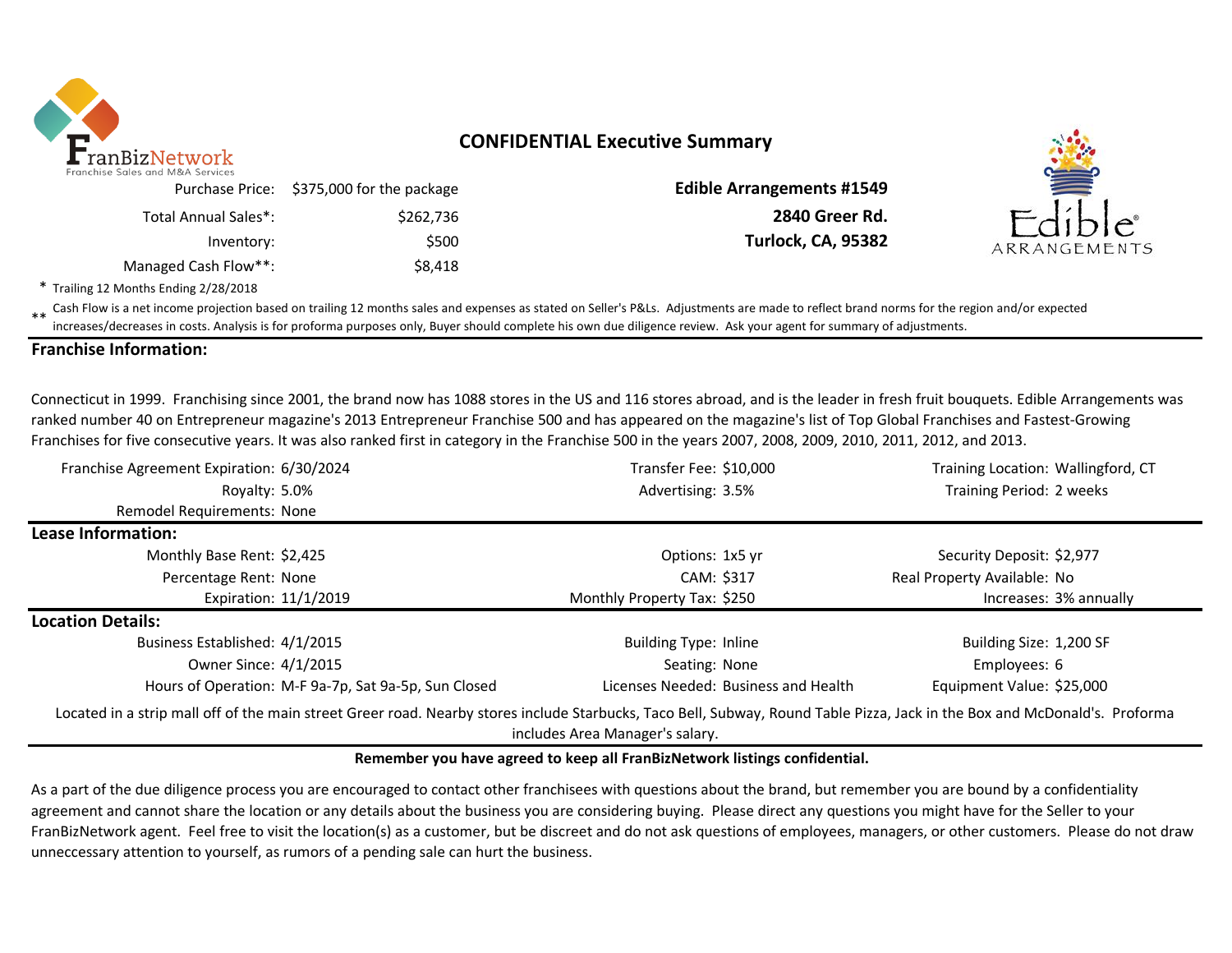

# **CONFIDENTIAL Executive Summary**

| Franchise Sales and M&A Services | Purchase Price: \$375,000 for the package |
|----------------------------------|-------------------------------------------|
| Total Annual Sales*:             | \$262,736                                 |
| Inventory:                       | \$500                                     |
| Managed Cash Flow**:             | \$8,418                                   |

**Edible Arrangements #1549** \$262,736 **2840 Greer Rd. Turlock, CA, 95382** 



\* Trailing 12 Months Ending 2/28/2018

\*\* Cash Flow is a net income projection based on trailing 12 months sales and expenses as stated on Seller's P&Ls. Adjustments are made to reflect brand norms for the region and/or expected increases/decreases in costs. Analysis is for proforma purposes only, Buyer should complete his own due diligence review. Ask your agent for summary of adjustments.

### **Franchise Information:**

Connecticut in 1999. Franchising since 2001, the brand now has 1088 stores in the US and 116 stores abroad, and is the leader in fresh fruit bouquets. Edible Arrangements was ranked number 40 on Entrepreneur magazine's 2013 Entrepreneur Franchise 500 and has appeared on the magazine's list of Top Global Franchises and Fastest-Growing Franchises for five consecutive years. It was also ranked first in category in the Franchise 500 in the years 2007, 2008, 2009, 2010, 2011, 2012, and 2013.

| Transfer Fee: \$10,000                                                                                                                                                     | Training Location: Wallingford, CT |
|----------------------------------------------------------------------------------------------------------------------------------------------------------------------------|------------------------------------|
| Advertising: 3.5%                                                                                                                                                          | Training Period: 2 weeks           |
|                                                                                                                                                                            |                                    |
|                                                                                                                                                                            |                                    |
| Options: 1x5 yr                                                                                                                                                            | Security Deposit: \$2,977          |
| CAM: \$317                                                                                                                                                                 | Real Property Available: No        |
| Monthly Property Tax: \$250                                                                                                                                                | Increases: 3% annually             |
|                                                                                                                                                                            |                                    |
| <b>Building Type: Inline</b>                                                                                                                                               | Building Size: 1,200 SF            |
| Seating: None                                                                                                                                                              | Employees: 6                       |
| Licenses Needed: Business and Health                                                                                                                                       | Equipment Value: \$25,000          |
| Located in a strip mall off of the main street Greer road. Nearby stores include Starbucks, Taco Bell, Subway, Round Table Pizza, Jack in the Box and McDonald's. Proforma |                                    |
|                                                                                                                                                                            | includes Area Manager's salary.    |

### **Remember you have agreed to keep all FranBizNetwork listings confidential.**

As a part of the due diligence process you are encouraged to contact other franchisees with questions about the brand, but remember you are bound by a confidentiality agreement and cannot share the location or any details about the business you are considering buying. Please direct any questions you might have for the Seller to your FranBizNetwork agent. Feel free to visit the location(s) as a customer, but be discreet and do not ask questions of employees, managers, or other customers. Please do not draw unneccessary attention to yourself, as rumors of a pending sale can hurt the business.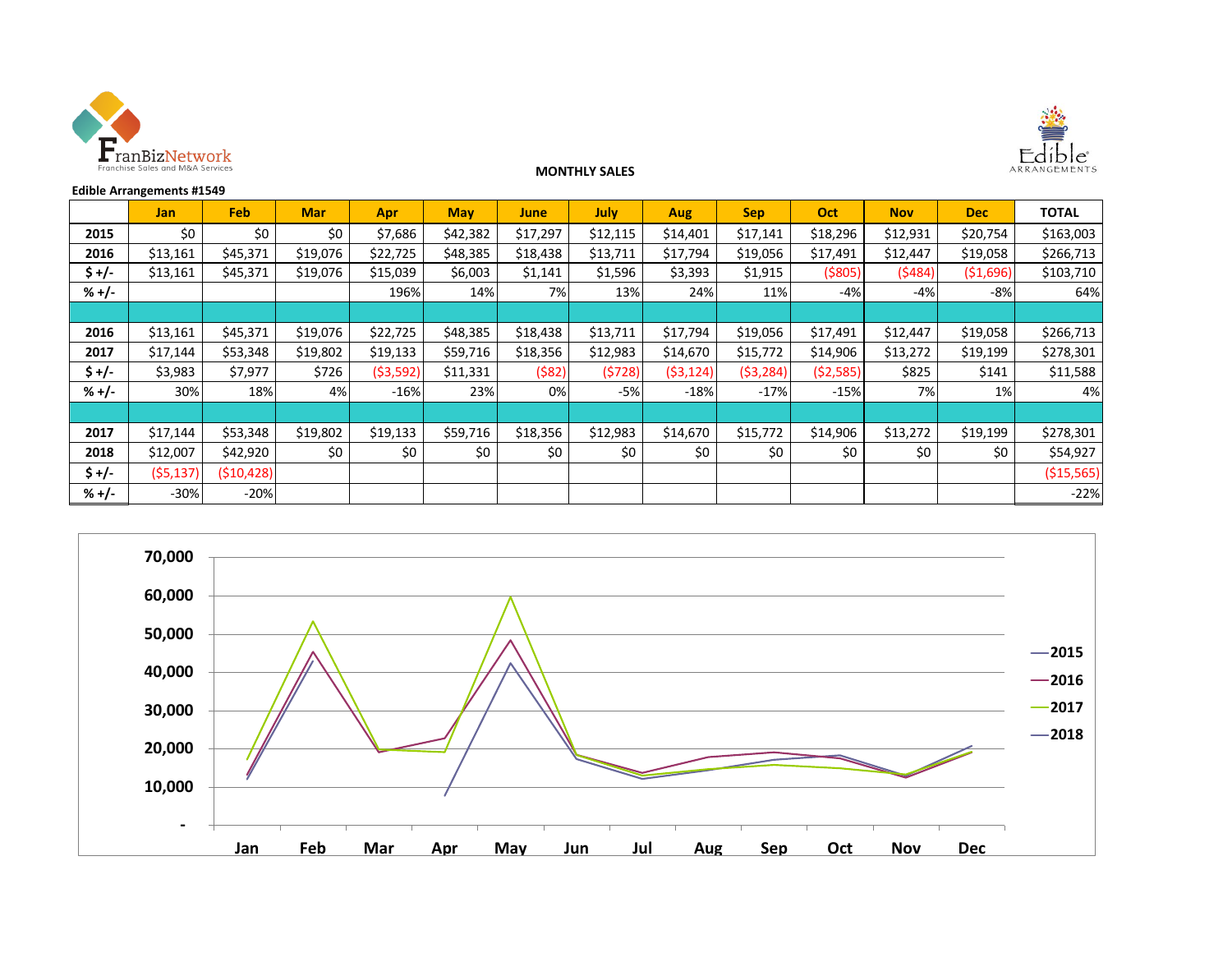



#### **MONTHLY SALES**

| <b>Edible Arrangements #1549</b> |           |            |            |            |            |          |          |            |            |          |            |            |              |
|----------------------------------|-----------|------------|------------|------------|------------|----------|----------|------------|------------|----------|------------|------------|--------------|
|                                  | Jan       | Feb        | <b>Mar</b> | <b>Apr</b> | <b>May</b> | June     | July     | <b>Aug</b> | <b>Sep</b> | Oct      | <b>Nov</b> | <b>Dec</b> | <b>TOTAL</b> |
| 2015                             | \$0       | \$0        | \$0        | \$7,686    | \$42,382   | \$17,297 | \$12,115 | \$14,401   | \$17,141   | \$18,296 | \$12,931   | \$20,754   | \$163,003    |
| 2016                             | \$13,161  | \$45,371   | \$19,076   | \$22,725   | \$48,385   | \$18,438 | \$13,711 | \$17,794   | \$19,056   | \$17,491 | \$12,447   | \$19,058   | \$266,713    |
| $$+/-$                           | \$13,161  | \$45,371   | \$19,076   | \$15,039   | \$6,003    | \$1,141  | \$1,596  | \$3,393    | \$1,915    | (\$805)  | (5484)     | ( \$1,696) | \$103,710    |
| $% +/-$                          |           |            |            | 196%       | 14%        | 7%       | 13%      | 24%        | 11%        | -4%      | $-4%$      | -8%        | 64%          |
|                                  |           |            |            |            |            |          |          |            |            |          |            |            |              |
| 2016                             | \$13,161  | \$45,371   | \$19,076   | \$22,725   | \$48,385   | \$18,438 | \$13,711 | \$17,794   | \$19,056   | \$17,491 | \$12,447   | \$19,058   | \$266,713    |
| 2017                             | \$17,144  | \$53,348   | \$19,802   | \$19,133   | \$59,716   | \$18,356 | \$12,983 | \$14,670   | \$15,772   | \$14,906 | \$13,272   | \$19,199   | \$278,301    |
| $$+/-$                           | \$3,983   | \$7,977    | \$726      | ( \$3,592] | \$11,331   | (\$82)   | (5728)   | (53, 124)  | ( \$3,284) | (52,585) | \$825      | \$141      | \$11,588     |
| $% +/-$                          | 30%       | 18%        | 4%         | $-16%$     | 23%        | 0%       | $-5%$    | $-18%$     | $-17%$     | $-15%$   | 7%         | 1%         | 4%           |
|                                  |           |            |            |            |            |          |          |            |            |          |            |            |              |
| 2017                             | \$17,144  | \$53,348   | \$19,802   | \$19,133   | \$59,716   | \$18,356 | \$12,983 | \$14,670   | \$15,772   | \$14,906 | \$13,272   | \$19,199   | \$278,301    |
| 2018                             | \$12,007  | \$42,920   | \$0        | \$0        | \$0        | \$0      | \$0      | \$0        | \$0        | \$0      | \$0        | \$0        | \$54,927     |
| $$+/-$                           | (55, 137) | (510, 428) |            |            |            |          |          |            |            |          |            |            | ( \$15,565)  |
| $% +/-$                          | $-30%$    | $-20%$     |            |            |            |          |          |            |            |          |            |            | $-22%$       |